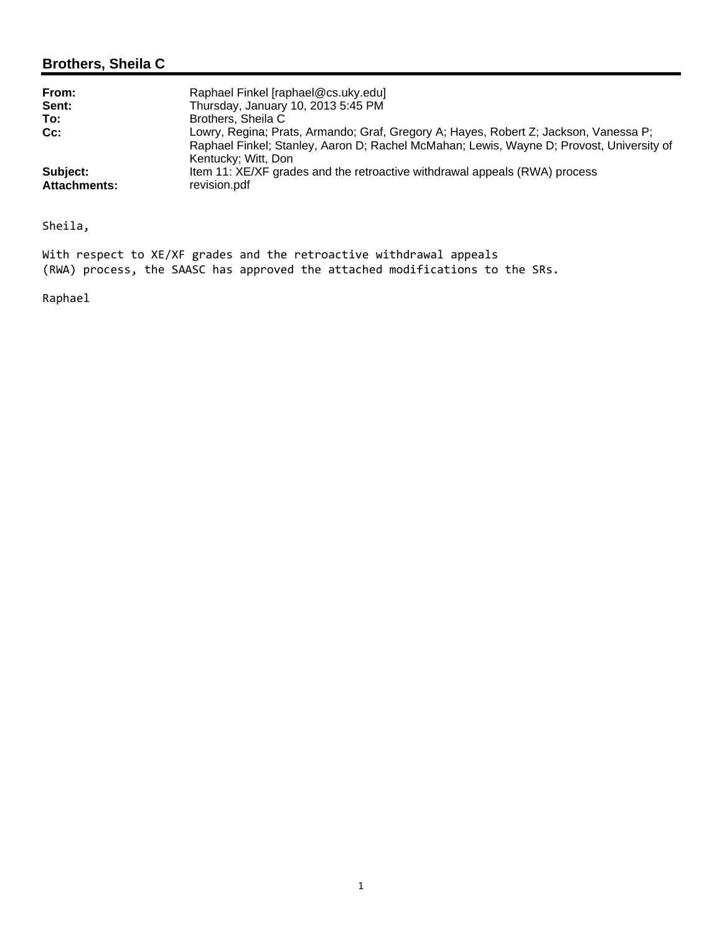## **Brothers, Sheila C**

| From:               | Raphael Finkel [raphael@cs.uky.edu]                                                      |
|---------------------|------------------------------------------------------------------------------------------|
| Sent:               | Thursday, January 10, 2013 5:45 PM                                                       |
| To:                 | Brothers, Sheila C                                                                       |
| $Cc$ :              | Lowry, Regina; Prats, Armando; Graf, Gregory A; Hayes, Robert Z; Jackson, Vanessa P;     |
|                     | Raphael Finkel; Stanley, Aaron D; Rachel McMahan; Lewis, Wayne D; Provost, University of |
|                     | Kentucky; Witt, Don                                                                      |
| Subject:            | Item 11: XE/XF grades and the retroactive withdrawal appeals (RWA) process               |
| <b>Attachments:</b> | revision.pdf                                                                             |

Sheila,

With respect to XE/XF grades and the retroactive withdrawal appeals (RWA) process, the SAASC has approved the attached modifications to the SRs.

Raphael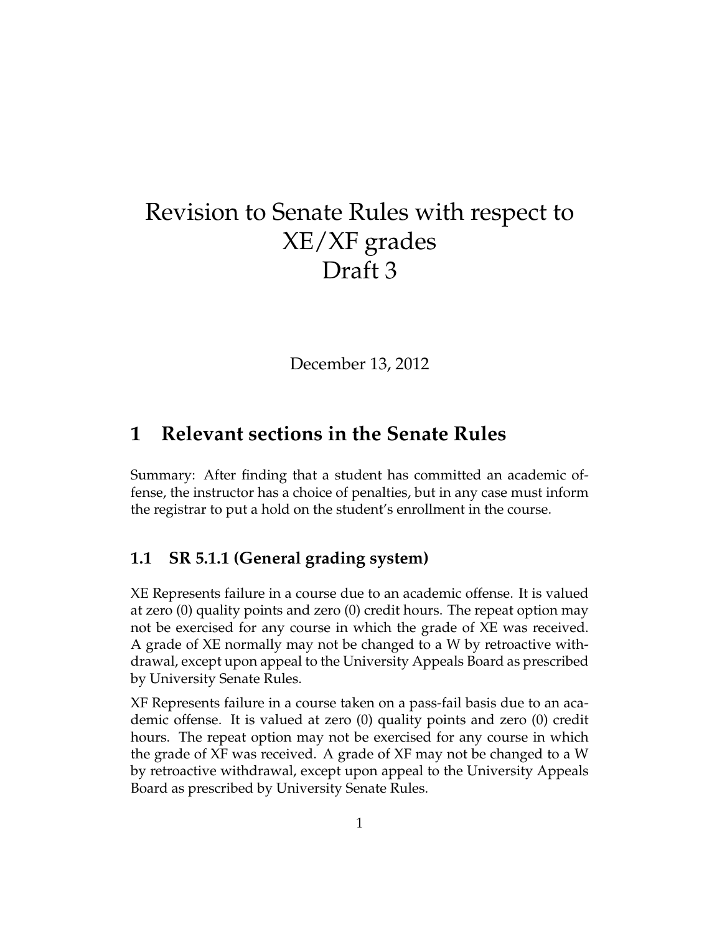# Revision to Senate Rules with respect to XE/XF grades Draft 3

December 13, 2012

# **1 Relevant sections in the Senate Rules**

Summary: After finding that a student has committed an academic offense, the instructor has a choice of penalties, but in any case must inform the registrar to put a hold on the student's enrollment in the course.

#### **1.1 SR 5.1.1 (General grading system)**

XE Represents failure in a course due to an academic offense. It is valued at zero (0) quality points and zero (0) credit hours. The repeat option may not be exercised for any course in which the grade of XE was received. A grade of XE normally may not be changed to a W by retroactive withdrawal, except upon appeal to the University Appeals Board as prescribed by University Senate Rules.

XF Represents failure in a course taken on a pass-fail basis due to an academic offense. It is valued at zero (0) quality points and zero (0) credit hours. The repeat option may not be exercised for any course in which the grade of XF was received. A grade of XF may not be changed to a W by retroactive withdrawal, except upon appeal to the University Appeals Board as prescribed by University Senate Rules.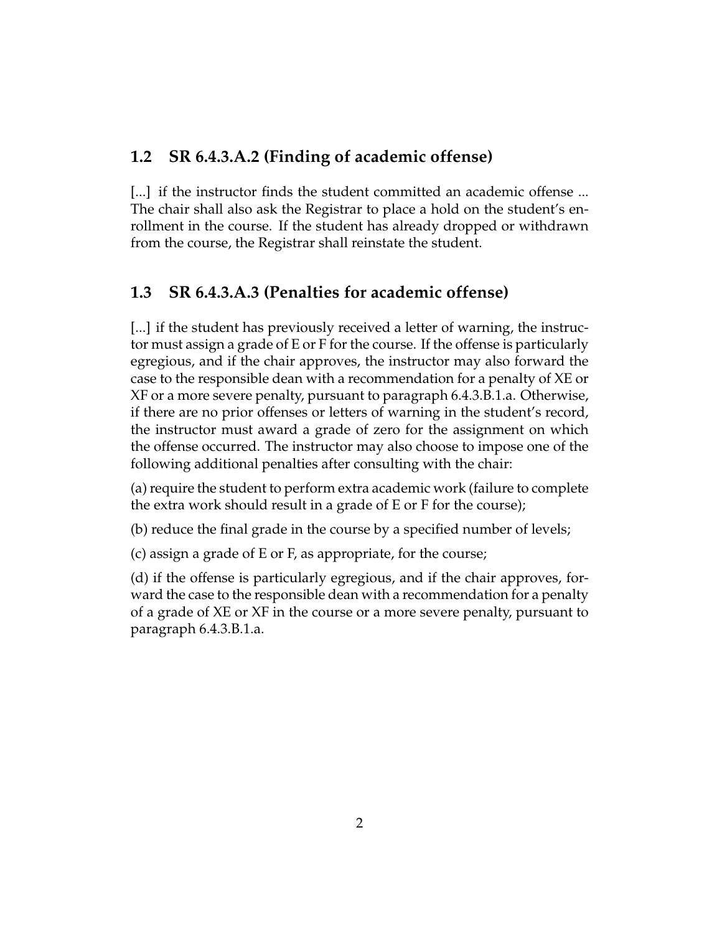#### **1.2 SR 6.4.3.A.2 (Finding of academic offense)**

[...] if the instructor finds the student committed an academic offense ... The chair shall also ask the Registrar to place a hold on the student's enrollment in the course. If the student has already dropped or withdrawn from the course, the Registrar shall reinstate the student.

#### **1.3 SR 6.4.3.A.3 (Penalties for academic offense)**

[...] if the student has previously received a letter of warning, the instructor must assign a grade of E or F for the course. If the offense is particularly egregious, and if the chair approves, the instructor may also forward the case to the responsible dean with a recommendation for a penalty of XE or XF or a more severe penalty, pursuant to paragraph 6.4.3.B.1.a. Otherwise, if there are no prior offenses or letters of warning in the student's record, the instructor must award a grade of zero for the assignment on which the offense occurred. The instructor may also choose to impose one of the following additional penalties after consulting with the chair:

(a) require the student to perform extra academic work (failure to complete the extra work should result in a grade of E or F for the course);

(b) reduce the final grade in the course by a specified number of levels;

(c) assign a grade of E or F, as appropriate, for the course;

(d) if the offense is particularly egregious, and if the chair approves, forward the case to the responsible dean with a recommendation for a penalty of a grade of XE or XF in the course or a more severe penalty, pursuant to paragraph 6.4.3.B.1.a.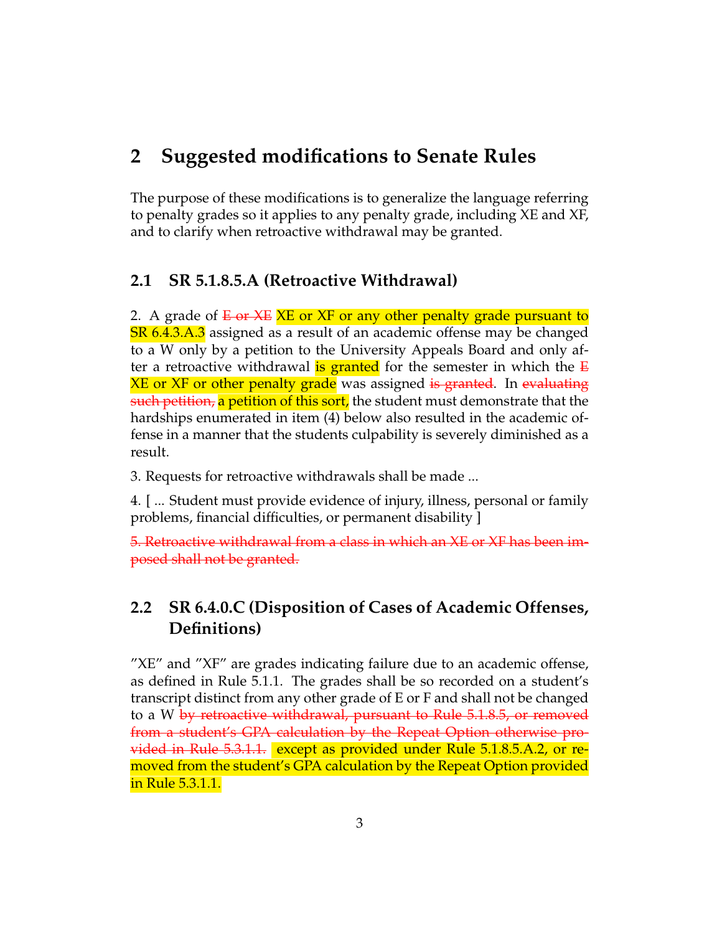# **2 Suggested modifications to Senate Rules**

The purpose of these modifications is to generalize the language referring to penalty grades so it applies to any penalty grade, including XE and XF, and to clarify when retroactive withdrawal may be granted.

### **2.1 SR 5.1.8.5.A (Retroactive Withdrawal)**

2. A grade of  $E_{\rm}$  or  $E_{\rm}$  are XF or any other penalty grade pursuant to SR 6.4.3.A.3 assigned as a result of an academic offense may be changed to a W only by a petition to the University Appeals Board and only after a retroactive withdrawal **is granted** for the semester in which the  $E$ **XE or XF or other penalty grade** was assigned is granted. In evaluating such petition, a petition of this sort, the student must demonstrate that the hardships enumerated in item (4) below also resulted in the academic offense in a manner that the students culpability is severely diminished as a result.

3. Requests for retroactive withdrawals shall be made ...

4. [ ... Student must provide evidence of injury, illness, personal or family problems, financial difficulties, or permanent disability ]

5. Retroactive withdrawal from a class in which an XE or XF has been imposed shall not be granted.

# **2.2 SR 6.4.0.C (Disposition of Cases of Academic Offenses, Definitions)**

"XE" and "XF" are grades indicating failure due to an academic offense, as defined in Rule 5.1.1. The grades shall be so recorded on a student's transcript distinct from any other grade of E or F and shall not be changed to a W by retroactive withdrawal, pursuant to Rule 5.1.8.5, or removed from a student's GPA calculation by the Repeat Option otherwise provided in Rule 5.3.1.1. except as provided under Rule 5.1.8.5.A.2, or removed from the student's GPA calculation by the Repeat Option provided in Rule 5.3.1.1.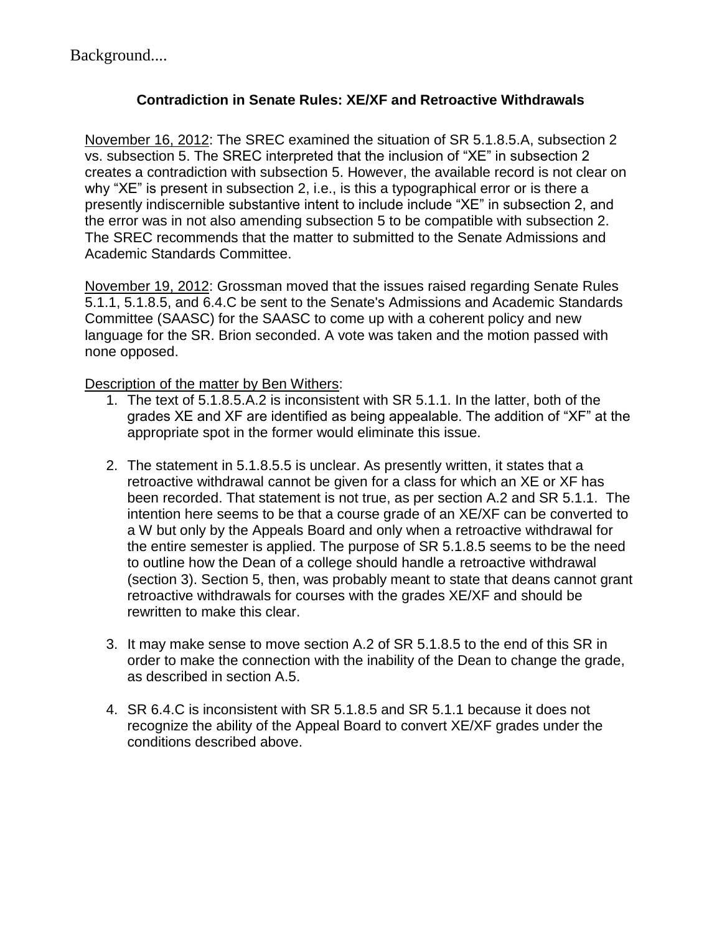Background....

#### **Contradiction in Senate Rules: XE/XF and Retroactive Withdrawals**

November 16, 2012: The SREC examined the situation of SR 5.1.8.5.A, subsection 2 vs. subsection 5. The SREC interpreted that the inclusion of "XE" in subsection 2 creates a contradiction with subsection 5. However, the available record is not clear on why "XE" is present in subsection 2, i.e., is this a typographical error or is there a presently indiscernible substantive intent to include include "XE" in subsection 2, and the error was in not also amending subsection 5 to be compatible with subsection 2. The SREC recommends that the matter to submitted to the Senate Admissions and Academic Standards Committee.

November 19, 2012: Grossman moved that the issues raised regarding Senate Rules 5.1.1, 5.1.8.5, and 6.4.C be sent to the Senate's Admissions and Academic Standards Committee (SAASC) for the SAASC to come up with a coherent policy and new language for the SR. Brion seconded. A vote was taken and the motion passed with none opposed.

Description of the matter by Ben Withers:

- 1. The text of 5.1.8.5.A.2 is inconsistent with SR 5.1.1. In the latter, both of the grades XE and XF are identified as being appealable. The addition of "XF" at the appropriate spot in the former would eliminate this issue.
- 2. The statement in 5.1.8.5.5 is unclear. As presently written, it states that a retroactive withdrawal cannot be given for a class for which an XE or XF has been recorded. That statement is not true, as per section A.2 and SR 5.1.1. The intention here seems to be that a course grade of an XE/XF can be converted to a W but only by the Appeals Board and only when a retroactive withdrawal for the entire semester is applied. The purpose of SR 5.1.8.5 seems to be the need to outline how the Dean of a college should handle a retroactive withdrawal (section 3). Section 5, then, was probably meant to state that deans cannot grant retroactive withdrawals for courses with the grades XE/XF and should be rewritten to make this clear.
- 3. It may make sense to move section A.2 of SR 5.1.8.5 to the end of this SR in order to make the connection with the inability of the Dean to change the grade, as described in section A.5.
- 4. SR 6.4.C is inconsistent with SR 5.1.8.5 and SR 5.1.1 because it does not recognize the ability of the Appeal Board to convert XE/XF grades under the conditions described above.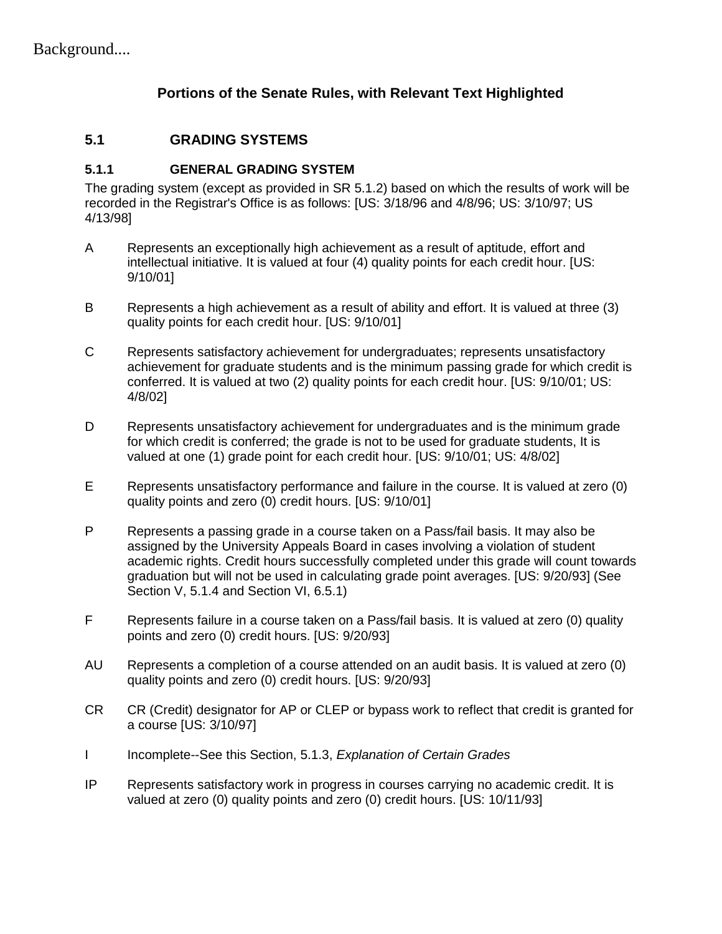#### **Portions of the Senate Rules, with Relevant Text Highlighted**

#### **5.1 GRADING SYSTEMS**

#### **5.1.1 GENERAL GRADING SYSTEM**

The grading system (except as provided in SR 5.1.2) based on which the results of work will be recorded in the Registrar's Office is as follows: [US: 3/18/96 and 4/8/96; US: 3/10/97; US 4/13/98]

- A Represents an exceptionally high achievement as a result of aptitude, effort and intellectual initiative. It is valued at four (4) quality points for each credit hour. [US: 9/10/01]
- B Represents a high achievement as a result of ability and effort. It is valued at three (3) quality points for each credit hour. [US: 9/10/01]
- C Represents satisfactory achievement for undergraduates; represents unsatisfactory achievement for graduate students and is the minimum passing grade for which credit is conferred. It is valued at two (2) quality points for each credit hour. [US: 9/10/01; US: 4/8/02]
- D Represents unsatisfactory achievement for undergraduates and is the minimum grade for which credit is conferred; the grade is not to be used for graduate students, It is valued at one (1) grade point for each credit hour. [US: 9/10/01; US: 4/8/02]
- E Represents unsatisfactory performance and failure in the course. It is valued at zero (0) quality points and zero (0) credit hours. [US: 9/10/01]
- P Represents a passing grade in a course taken on a Pass/fail basis. It may also be assigned by the University Appeals Board in cases involving a violation of student academic rights. Credit hours successfully completed under this grade will count towards graduation but will not be used in calculating grade point averages. [US: 9/20/93] (See Section V, 5.1.4 and Section VI, 6.5.1)
- F Represents failure in a course taken on a Pass/fail basis. It is valued at zero (0) quality points and zero (0) credit hours. [US: 9/20/93]
- AU Represents a completion of a course attended on an audit basis. It is valued at zero (0) quality points and zero (0) credit hours. [US: 9/20/93]
- CR CR (Credit) designator for AP or CLEP or bypass work to reflect that credit is granted for a course [US: 3/10/97]
- I Incomplete--See this Section, 5.1.3, *Explanation of Certain Grades*
- IP Represents satisfactory work in progress in courses carrying no academic credit. It is valued at zero (0) quality points and zero (0) credit hours. [US: 10/11/93]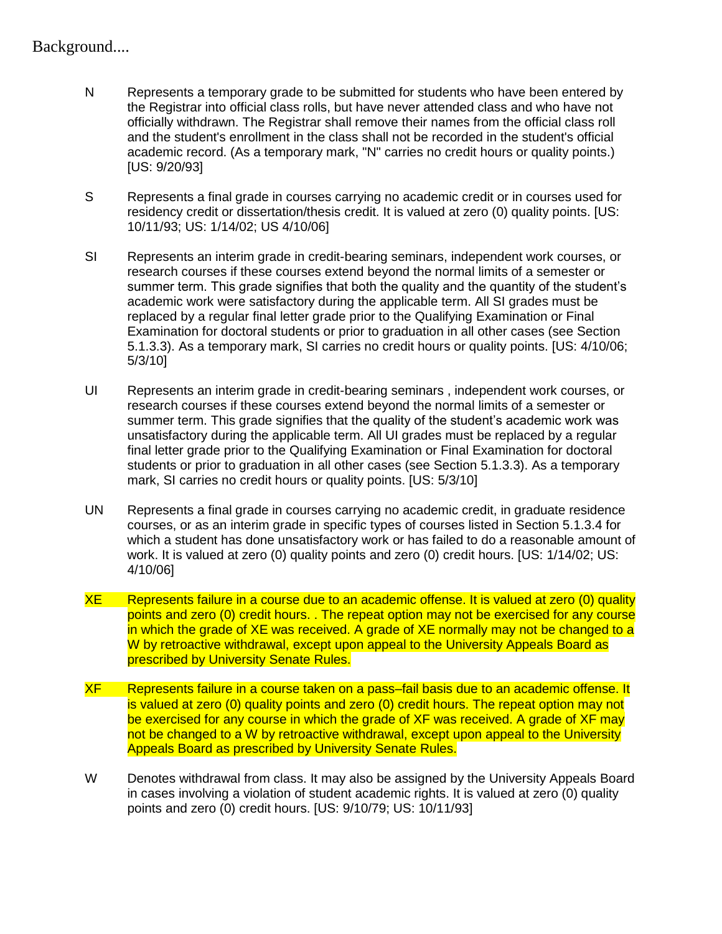#### Background....

- N Represents a temporary grade to be submitted for students who have been entered by the Registrar into official class rolls, but have never attended class and who have not officially withdrawn. The Registrar shall remove their names from the official class roll and the student's enrollment in the class shall not be recorded in the student's official academic record. (As a temporary mark, "N" carries no credit hours or quality points.) [US: 9/20/93]
- S Represents a final grade in courses carrying no academic credit or in courses used for residency credit or dissertation/thesis credit. It is valued at zero (0) quality points. [US: 10/11/93; US: 1/14/02; US 4/10/06]
- SI Represents an interim grade in credit-bearing seminars, independent work courses, or research courses if these courses extend beyond the normal limits of a semester or summer term. This grade signifies that both the quality and the quantity of the student's academic work were satisfactory during the applicable term. All SI grades must be replaced by a regular final letter grade prior to the Qualifying Examination or Final Examination for doctoral students or prior to graduation in all other cases (see Section 5.1.3.3). As a temporary mark, SI carries no credit hours or quality points. [US: 4/10/06; 5/3/10]
- UI Represents an interim grade in credit-bearing seminars , independent work courses, or research courses if these courses extend beyond the normal limits of a semester or summer term. This grade signifies that the quality of the student's academic work was unsatisfactory during the applicable term. All UI grades must be replaced by a regular final letter grade prior to the Qualifying Examination or Final Examination for doctoral students or prior to graduation in all other cases (see Section 5.1.3.3). As a temporary mark, SI carries no credit hours or quality points. [US: 5/3/10]
- UN Represents a final grade in courses carrying no academic credit, in graduate residence courses, or as an interim grade in specific types of courses listed in Section 5.1.3.4 for which a student has done unsatisfactory work or has failed to do a reasonable amount of work. It is valued at zero (0) quality points and zero (0) credit hours. [US: 1/14/02; US: 4/10/06]
- XE Represents failure in a course due to an academic offense. It is valued at zero (0) quality points and zero (0) credit hours. . The repeat option may not be exercised for any course in which the grade of XE was received. A grade of XE normally may not be changed to a W by retroactive withdrawal, except upon appeal to the University Appeals Board as prescribed by University Senate Rules.
- XF Represents failure in a course taken on a pass–fail basis due to an academic offense. It is valued at zero (0) quality points and zero (0) credit hours. The repeat option may not be exercised for any course in which the grade of XF was received. A grade of XF may not be changed to a W by retroactive withdrawal, except upon appeal to the University Appeals Board as prescribed by University Senate Rules.
- W Denotes withdrawal from class. It may also be assigned by the University Appeals Board in cases involving a violation of student academic rights. It is valued at zero (0) quality points and zero (0) credit hours. [US: 9/10/79; US: 10/11/93]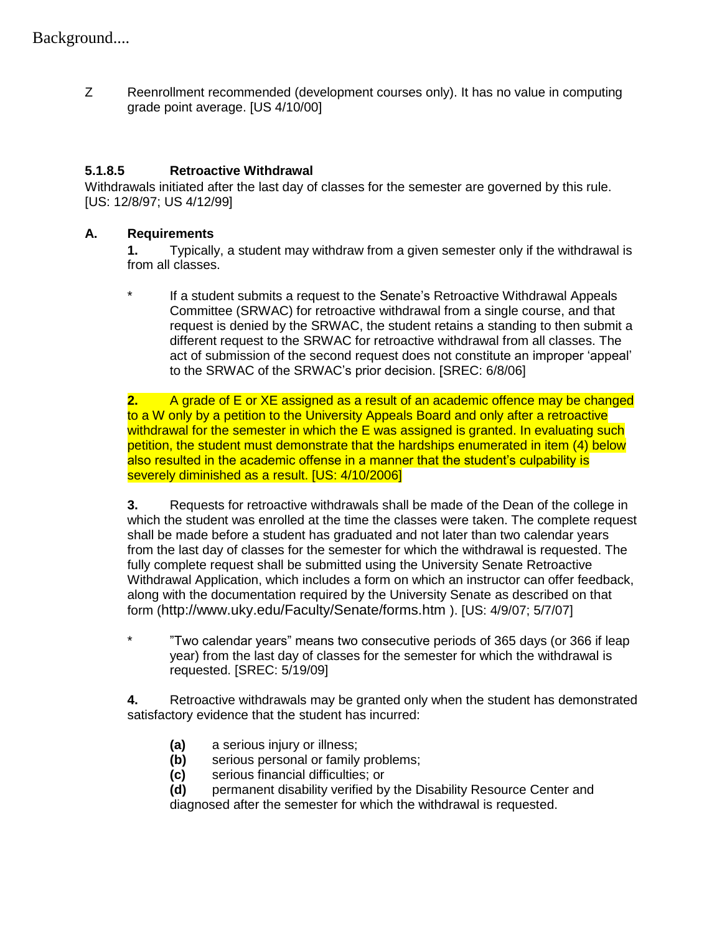Z Reenrollment recommended (development courses only). It has no value in computing grade point average. [US 4/10/00]

## **5.1.8.5 Retroactive Withdrawal**

Withdrawals initiated after the last day of classes for the semester are governed by this rule. [US: 12/8/97; US 4/12/99]

#### **A. Requirements**

**1.** Typically, a student may withdraw from a given semester only if the withdrawal is from all classes.

\* If a student submits a request to the Senate"s Retroactive Withdrawal Appeals Committee (SRWAC) for retroactive withdrawal from a single course, and that request is denied by the SRWAC, the student retains a standing to then submit a different request to the SRWAC for retroactive withdrawal from all classes. The act of submission of the second request does not constitute an improper "appeal" to the SRWAC of the SRWAC"s prior decision. [SREC: 6/8/06]

**2.** A grade of E or XE assigned as a result of an academic offence may be changed to a W only by a petition to the University Appeals Board and only after a retroactive withdrawal for the semester in which the E was assigned is granted. In evaluating such petition, the student must demonstrate that the hardships enumerated in item (4) below also resulted in the academic offense in a manner that the student's culpability is severely diminished as a result. [US: 4/10/2006]

**3.** Requests for retroactive withdrawals shall be made of the Dean of the college in which the student was enrolled at the time the classes were taken. The complete request shall be made before a student has graduated and not later than two calendar years from the last day of classes for the semester for which the withdrawal is requested. The fully complete request shall be submitted using the University Senate Retroactive Withdrawal Application, which includes a form on which an instructor can offer feedback, along with the documentation required by the University Senate as described on that form (http://www.uky.edu/Faculty/Senate/forms.htm ). [US: 4/9/07; 5/7/07]

\* "Two calendar years" means two consecutive periods of 365 days (or 366 if leap year) from the last day of classes for the semester for which the withdrawal is requested. [SREC: 5/19/09]

**4.** Retroactive withdrawals may be granted only when the student has demonstrated satisfactory evidence that the student has incurred:

- **(a)** a serious injury or illness;
- **(b)** serious personal or family problems;
- **(c)** serious financial difficulties; or
- **(d)** permanent disability verified by the Disability Resource Center and diagnosed after the semester for which the withdrawal is requested.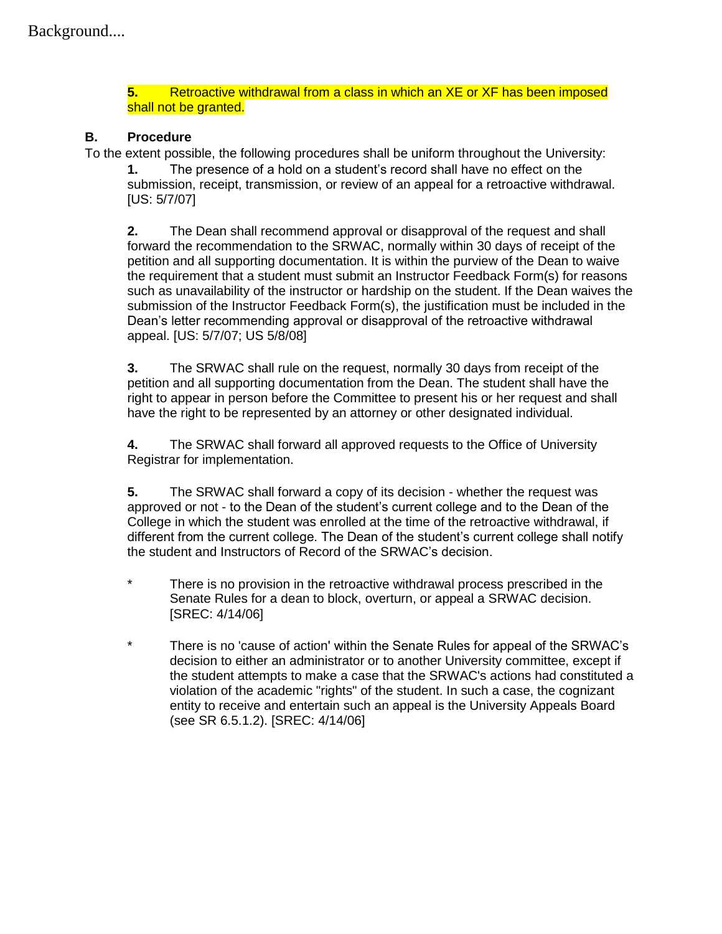**5.** Retroactive withdrawal from a class in which an XE or XF has been imposed shall not be granted.

#### **B. Procedure**

To the extent possible, the following procedures shall be uniform throughout the University:

**1.** The presence of a hold on a student"s record shall have no effect on the submission, receipt, transmission, or review of an appeal for a retroactive withdrawal. [US: 5/7/07]

**2.** The Dean shall recommend approval or disapproval of the request and shall forward the recommendation to the SRWAC, normally within 30 days of receipt of the petition and all supporting documentation. It is within the purview of the Dean to waive the requirement that a student must submit an Instructor Feedback Form(s) for reasons such as unavailability of the instructor or hardship on the student. If the Dean waives the submission of the Instructor Feedback Form(s), the justification must be included in the Dean"s letter recommending approval or disapproval of the retroactive withdrawal appeal. [US: 5/7/07; US 5/8/08]

**3.** The SRWAC shall rule on the request, normally 30 days from receipt of the petition and all supporting documentation from the Dean. The student shall have the right to appear in person before the Committee to present his or her request and shall have the right to be represented by an attorney or other designated individual.

**4.** The SRWAC shall forward all approved requests to the Office of University Registrar for implementation.

**5.** The SRWAC shall forward a copy of its decision - whether the request was approved or not - to the Dean of the student"s current college and to the Dean of the College in which the student was enrolled at the time of the retroactive withdrawal, if different from the current college. The Dean of the student"s current college shall notify the student and Instructors of Record of the SRWAC"s decision.

- \* There is no provision in the retroactive withdrawal process prescribed in the Senate Rules for a dean to block, overturn, or appeal a SRWAC decision. [SREC: 4/14/06]
- \* There is no 'cause of action' within the Senate Rules for appeal of the SRWAC"s decision to either an administrator or to another University committee, except if the student attempts to make a case that the SRWAC's actions had constituted a violation of the academic "rights" of the student. In such a case, the cognizant entity to receive and entertain such an appeal is the University Appeals Board (see SR 6.5.1.2). [SREC: 4/14/06]